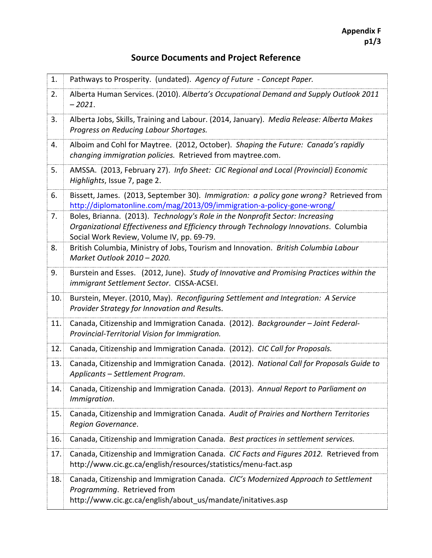## **Source Documents and Project Reference**

| 1.  | Pathways to Prosperity. (undated). Agency of Future - Concept Paper.                                                                                                                                               |
|-----|--------------------------------------------------------------------------------------------------------------------------------------------------------------------------------------------------------------------|
| 2.  | Alberta Human Services. (2010). Alberta's Occupational Demand and Supply Outlook 2011<br>$-2021.$                                                                                                                  |
| 3.  | Alberta Jobs, Skills, Training and Labour. (2014, January). Media Release: Alberta Makes<br>Progress on Reducing Labour Shortages.                                                                                 |
| 4.  | Alboim and Cohl for Maytree. (2012, October). Shaping the Future: Canada's rapidly<br>changing immigration policies. Retrieved from maytree.com.                                                                   |
| 5.  | AMSSA. (2013, February 27). Info Sheet: CIC Regional and Local (Provincial) Economic<br>Highlights, Issue 7, page 2.                                                                                               |
| 6.  | Bissett, James. (2013, September 30). Immigration: a policy gone wrong? Retrieved from<br>http://diplomatonline.com/mag/2013/09/immigration-a-policy-gone-wrong/                                                   |
| 7.  | Boles, Brianna. (2013). Technology's Role in the Nonprofit Sector: Increasing<br>Organizational Effectiveness and Efficiency through Technology Innovations. Columbia<br>Social Work Review, Volume IV, pp. 69-79. |
| 8.  | British Columbia, Ministry of Jobs, Tourism and Innovation. British Columbia Labour<br>Market Outlook 2010 - 2020.                                                                                                 |
| 9.  | Burstein and Esses. (2012, June). Study of Innovative and Promising Practices within the<br>immigrant Settlement Sector. CISSA-ACSEI.                                                                              |
| 10. | Burstein, Meyer. (2010, May). Reconfiguring Settlement and Integration: A Service<br>Provider Strategy for Innovation and Results.                                                                                 |
| 11. | Canada, Citizenship and Immigration Canada. (2012). Backgrounder - Joint Federal-<br>Provincial-Territorial Vision for Immigration.                                                                                |
| 12. | Canada, Citizenship and Immigration Canada. (2012). CIC Call for Proposals.                                                                                                                                        |
| 13. | Canada, Citizenship and Immigration Canada. (2012). National Call for Proposals Guide to<br>Applicants - Settlement Program.                                                                                       |
| 14. | Canada, Citizenship and Immigration Canada. (2013). Annual Report to Parliament on<br>Immigration.                                                                                                                 |
| 15. | Canada, Citizenship and Immigration Canada. Audit of Prairies and Northern Territories<br>Region Governance.                                                                                                       |
| 16. | Canada, Citizenship and Immigration Canada. Best practices in settlement services.                                                                                                                                 |
| 17. | Canada, Citizenship and Immigration Canada. CIC Facts and Figures 2012. Retrieved from<br>http://www.cic.gc.ca/english/resources/statistics/menu-fact.asp                                                          |
| 18. | Canada, Citizenship and Immigration Canada. CIC's Modernized Approach to Settlement<br>Programming. Retrieved from<br>http://www.cic.gc.ca/english/about us/mandate/initatives.asp                                 |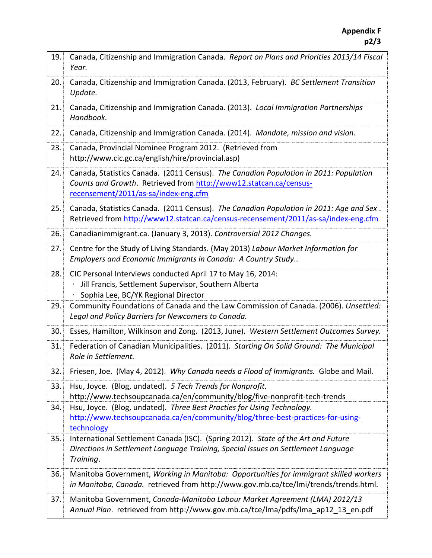| 19. | Canada, Citizenship and Immigration Canada. Report on Plans and Priorities 2013/14 Fiscal<br>Year.                                                                                                 |
|-----|----------------------------------------------------------------------------------------------------------------------------------------------------------------------------------------------------|
| 20. | Canada, Citizenship and Immigration Canada. (2013, February). BC Settlement Transition<br>Update.                                                                                                  |
| 21. | Canada, Citizenship and Immigration Canada. (2013). Local Immigration Partnerships<br>Handbook.                                                                                                    |
| 22. | Canada, Citizenship and Immigration Canada. (2014). Mandate, mission and vision.                                                                                                                   |
| 23. | Canada, Provincial Nominee Program 2012. (Retrieved from<br>http://www.cic.gc.ca/english/hire/provincial.asp)                                                                                      |
| 24. | Canada, Statistics Canada. (2011 Census). The Canadian Population in 2011: Population<br>Counts and Growth. Retrieved from http://www12.statcan.ca/census-<br>recensement/2011/as-sa/index-eng.cfm |
| 25. | Canada, Statistics Canada. (2011 Census). The Canadian Population in 2011: Age and Sex.<br>Retrieved from http://www12.statcan.ca/census-recensement/2011/as-sa/index-eng.cfm                      |
| 26. | Canadianimmigrant.ca. (January 3, 2013). Controversial 2012 Changes.                                                                                                                               |
| 27. | Centre for the Study of Living Standards. (May 2013) Labour Market Information for<br>Employers and Economic Immigrants in Canada: A Country Study                                                 |
| 28. | CIC Personal Interviews conducted April 17 to May 16, 2014:<br>Jill Francis, Settlement Supervisor, Southern Alberta<br>Sophia Lee, BC/YK Regional Director                                        |
| 29. | Community Foundations of Canada and the Law Commission of Canada. (2006). Unsettled:<br>Legal and Policy Barriers for Newcomers to Canada.                                                         |
| 30. | Esses, Hamilton, Wilkinson and Zong. (2013, June). Western Settlement Outcomes Survey.                                                                                                             |
| 31. | Federation of Canadian Municipalities. (2011). Starting On Solid Ground: The Municipal<br>Role in Settlement.                                                                                      |
| 32. | Friesen, Joe. (May 4, 2012). Why Canada needs a Flood of Immigrants. Globe and Mail.                                                                                                               |
| 33. | Hsu, Joyce. (Blog, undated). 5 Tech Trends for Nonprofit.<br>http://www.techsoupcanada.ca/en/community/blog/five-nonprofit-tech-trends                                                             |
| 34. | Hsu, Joyce. (Blog, undated). Three Best Practies for Using Technology.<br>http://www.techsoupcanada.ca/en/community/blog/three-best-practices-for-using-<br>technology                             |
| 35. | International Settlement Canada (ISC). (Spring 2012). State of the Art and Future<br>Directions in Settlement Language Training, Special Issues on Settlement Language<br>Training.                |
| 36. | Manitoba Government, Working in Manitoba: Opportunities for immigrant skilled workers<br>in Manitoba, Canada. retrieved from http://www.gov.mb.ca/tce/lmi/trends/trends.html.                      |
| 37. | Manitoba Government, Canada-Manitoba Labour Market Agreement (LMA) 2012/13<br>Annual Plan. retrieved from http://www.gov.mb.ca/tce/lma/pdfs/lma_ap12_13_en.pdf                                     |